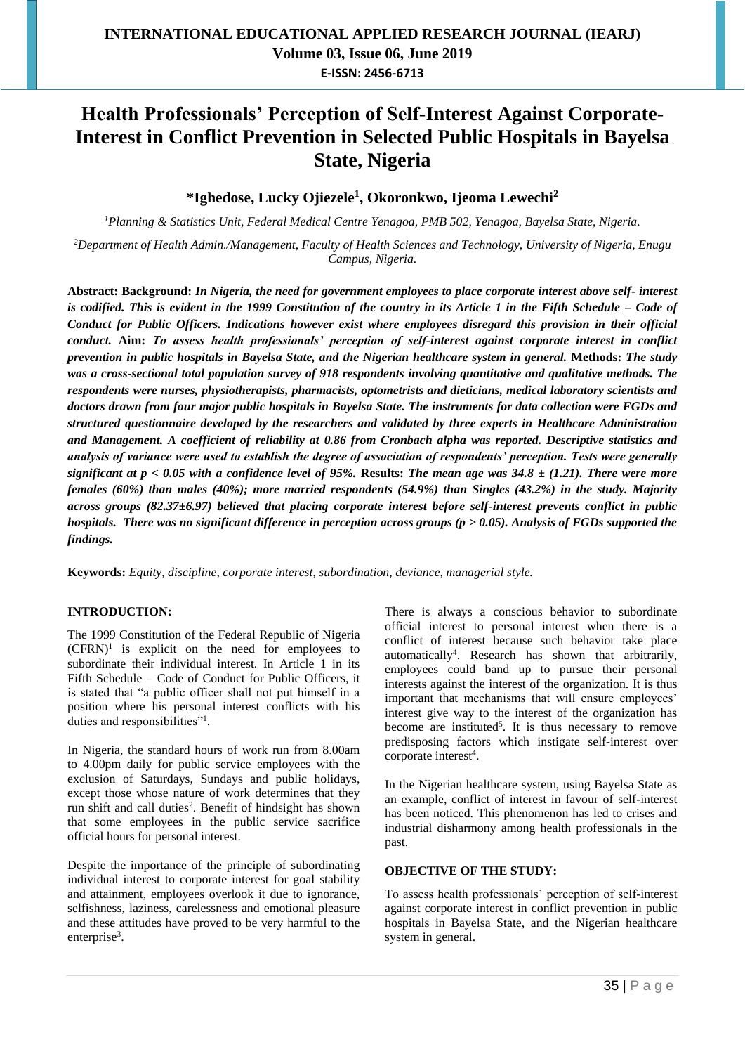# **Health Professionals' Perception of Self-Interest Against Corporate-Interest in Conflict Prevention in Selected Public Hospitals in Bayelsa State, Nigeria**

**\*Ighedose, Lucky Ojiezele<sup>1</sup> , Okoronkwo, Ijeoma Lewechi<sup>2</sup>**

*<sup>1</sup>Planning & Statistics Unit, Federal Medical Centre Yenagoa, PMB 502, Yenagoa, Bayelsa State, Nigeria.*

*<sup>2</sup>Department of Health Admin./Management, Faculty of Health Sciences and Technology, University of Nigeria, Enugu Campus, Nigeria.*

**Abstract: Background:** *In Nigeria, the need for government employees to place corporate interest above self- interest is codified. This is evident in the 1999 Constitution of the country in its Article 1 in the Fifth Schedule – Code of Conduct for Public Officers. Indications however exist where employees disregard this provision in their official conduct.* **Aim:** *To assess health professionals' perception of self-interest against corporate interest in conflict prevention in public hospitals in Bayelsa State, and the Nigerian healthcare system in general.* **Methods:** *The study was a cross-sectional total population survey of 918 respondents involving quantitative and qualitative methods. The respondents were nurses, physiotherapists, pharmacists, optometrists and dieticians, medical laboratory scientists and doctors drawn from four major public hospitals in Bayelsa State. The instruments for data collection were FGDs and structured questionnaire developed by the researchers and validated by three experts in Healthcare Administration and Management. A coefficient of reliability at 0.86 from Cronbach alpha was reported. Descriptive statistics and analysis of variance were used to establish the degree of association of respondents' perception. Tests were generally significant at p < 0.05 with a confidence level of 95%. Results: The mean age was*  $34.8 \pm (1.21)$ *. There were more females (60%) than males (40%); more married respondents (54.9%) than Singles (43.2%) in the study. Majority across groups (82.37±6.97) believed that placing corporate interest before self-interest prevents conflict in public hospitals. There was no significant difference in perception across groups (p > 0.05). Analysis of FGDs supported the findings.*

**Keywords:** *Equity, discipline, corporate interest, subordination, deviance, managerial style.*

### **INTRODUCTION:**

The 1999 Constitution of the Federal Republic of Nigeria  $(CFRN)^1$  is explicit on the need for employees to subordinate their individual interest. In Article 1 in its Fifth Schedule – Code of Conduct for Public Officers, it is stated that "a public officer shall not put himself in a position where his personal interest conflicts with his duties and responsibilities"<sup>1</sup>.

In Nigeria, the standard hours of work run from 8.00am to 4.00pm daily for public service employees with the exclusion of Saturdays, Sundays and public holidays, except those whose nature of work determines that they run shift and call duties<sup>2</sup>. Benefit of hindsight has shown that some employees in the public service sacrifice official hours for personal interest.

Despite the importance of the principle of subordinating individual interest to corporate interest for goal stability and attainment, employees overlook it due to ignorance, selfishness, laziness, carelessness and emotional pleasure and these attitudes have proved to be very harmful to the enterprise<sup>3</sup>.

There is always a conscious behavior to subordinate official interest to personal interest when there is a conflict of interest because such behavior take place automatically<sup>4</sup> . Research has shown that arbitrarily, employees could band up to pursue their personal interests against the interest of the organization. It is thus important that mechanisms that will ensure employees' interest give way to the interest of the organization has become are instituted<sup>5</sup>. It is thus necessary to remove predisposing factors which instigate self-interest over corporate interest<sup>4</sup>.

In the Nigerian healthcare system, using Bayelsa State as an example, conflict of interest in favour of self-interest has been noticed. This phenomenon has led to crises and industrial disharmony among health professionals in the past.

#### **OBJECTIVE OF THE STUDY:**

To assess health professionals' perception of self-interest against corporate interest in conflict prevention in public hospitals in Bayelsa State, and the Nigerian healthcare system in general.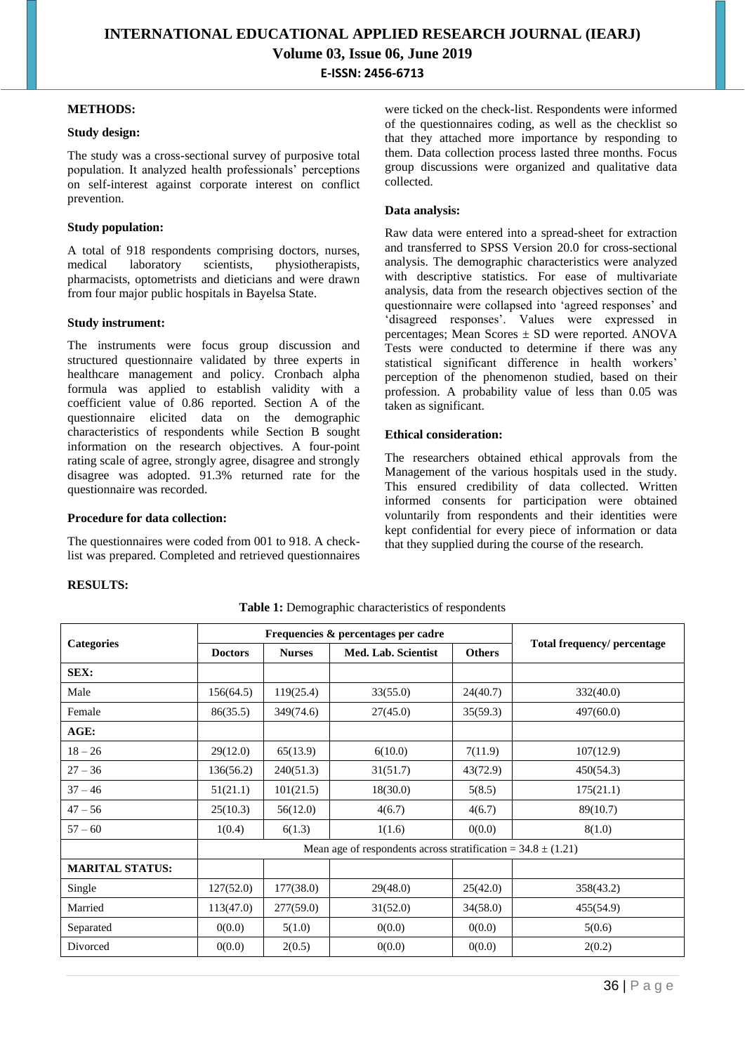#### **METHODS:**

#### **Study design:**

The study was a cross-sectional survey of purposive total population. It analyzed health professionals' perceptions on self-interest against corporate interest on conflict prevention.

#### **Study population:**

A total of 918 respondents comprising doctors, nurses, medical laboratory scientists, physiotherapists, pharmacists, optometrists and dieticians and were drawn from four major public hospitals in Bayelsa State.

#### **Study instrument:**

The instruments were focus group discussion and structured questionnaire validated by three experts in healthcare management and policy. Cronbach alpha formula was applied to establish validity with a coefficient value of 0.86 reported. Section A of the questionnaire elicited data on the demographic characteristics of respondents while Section B sought information on the research objectives. A four-point rating scale of agree, strongly agree, disagree and strongly disagree was adopted. 91.3% returned rate for the questionnaire was recorded.

#### **Procedure for data collection:**

The questionnaires were coded from 001 to 918. A checklist was prepared. Completed and retrieved questionnaires

were ticked on the check-list. Respondents were informed of the questionnaires coding, as well as the checklist so that they attached more importance by responding to them. Data collection process lasted three months. Focus group discussions were organized and qualitative data collected.

#### **Data analysis:**

Raw data were entered into a spread-sheet for extraction and transferred to SPSS Version 20.0 for cross-sectional analysis. The demographic characteristics were analyzed with descriptive statistics. For ease of multivariate analysis, data from the research objectives section of the questionnaire were collapsed into 'agreed responses' and 'disagreed responses'. Values were expressed in percentages; Mean Scores ± SD were reported. ANOVA Tests were conducted to determine if there was any statistical significant difference in health workers' perception of the phenomenon studied, based on their profession. A probability value of less than 0.05 was taken as significant.

#### **Ethical consideration:**

The researchers obtained ethical approvals from the Management of the various hospitals used in the study. This ensured credibility of data collected. Written informed consents for participation were obtained voluntarily from respondents and their identities were kept confidential for every piece of information or data that they supplied during the course of the research.

#### **RESULTS:**

|                        |                                                                   | Frequencies & percentages per cadre |                     |               |                             |  |  |  |
|------------------------|-------------------------------------------------------------------|-------------------------------------|---------------------|---------------|-----------------------------|--|--|--|
| <b>Categories</b>      | <b>Nurses</b><br><b>Doctors</b>                                   |                                     | Med. Lab. Scientist | <b>Others</b> | Total frequency/ percentage |  |  |  |
| SEX:                   |                                                                   |                                     |                     |               |                             |  |  |  |
| Male                   | 156(64.5)                                                         | 119(25.4)                           | 33(55.0)            | 24(40.7)      | 332(40.0)                   |  |  |  |
| Female                 | 86(35.5)                                                          | 349(74.6)                           | 27(45.0)            | 35(59.3)      | 497(60.0)                   |  |  |  |
| AGE:                   |                                                                   |                                     |                     |               |                             |  |  |  |
| $18 - 26$              | 29(12.0)                                                          | 65(13.9)                            | 6(10.0)             | 7(11.9)       | 107(12.9)                   |  |  |  |
| $27 - 36$              | 136(56.2)                                                         | 240(51.3)                           | 31(51.7)            | 43(72.9)      | 450(54.3)                   |  |  |  |
| $37 - 46$              | 51(21.1)                                                          | 101(21.5)                           | 18(30.0)            | 5(8.5)        | 175(21.1)                   |  |  |  |
| $47 - 56$              | 25(10.3)                                                          | 56(12.0)                            | 4(6.7)              | 4(6.7)        | 89(10.7)                    |  |  |  |
| $57 - 60$              | 1(0.4)                                                            | 6(1.3)                              | 1(1.6)              | 0(0.0)        | 8(1.0)                      |  |  |  |
|                        | Mean age of respondents across stratification = $34.8 \pm (1.21)$ |                                     |                     |               |                             |  |  |  |
| <b>MARITAL STATUS:</b> |                                                                   |                                     |                     |               |                             |  |  |  |
| Single                 | 127(52.0)                                                         | 177(38.0)                           | 29(48.0)            | 25(42.0)      | 358(43.2)                   |  |  |  |
| Married                | 113(47.0)                                                         | 277(59.0)                           | 31(52.0)            | 34(58.0)      | 455(54.9)                   |  |  |  |
| Separated              | 0(0.0)                                                            | 5(1.0)                              | 0(0.0)              | 0(0.0)        | 5(0.6)                      |  |  |  |
| Divorced               | 0(0.0)                                                            | 2(0.5)                              | 0(0.0)              | 0(0.0)        | 2(0.2)                      |  |  |  |

**Table 1:** Demographic characteristics of respondents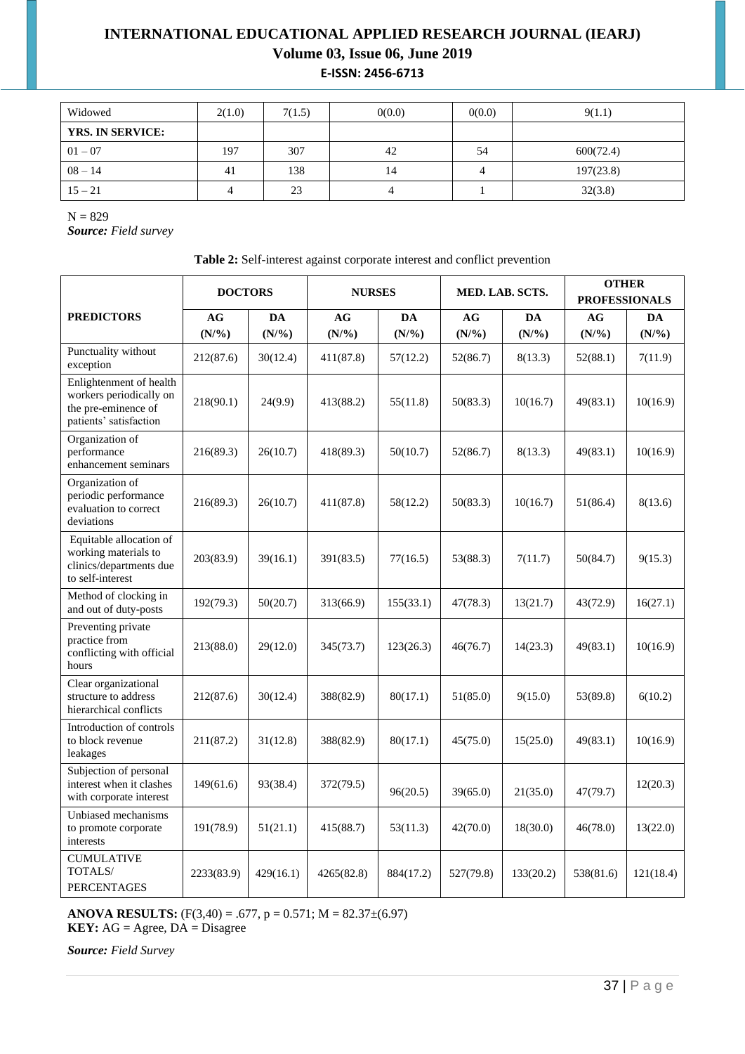# **INTERNATIONAL EDUCATIONAL APPLIED RESEARCH JOURNAL (IEARJ) Volume 03, Issue 06, June 2019 E-ISSN: 2456-6713**

| Widowed                 | 2(1.0) | 7(1.5) | 0(0.0) | 0(0.0) | 9(1.1)    |
|-------------------------|--------|--------|--------|--------|-----------|
| <b>YRS. IN SERVICE:</b> |        |        |        |        |           |
| $01 - 07$               | 197    | 307    | 42     | 54     | 600(72.4) |
| $08 - 14$               | 41     | 138    | 14     |        | 197(23.8) |
| $15 - 21$               |        | 23     |        |        | 32(3.8)   |

 $N = 829$ 

*Source: Field survey*

| Table 2: Self-interest against corporate interest and conflict prevention |  |  |  |
|---------------------------------------------------------------------------|--|--|--|
|                                                                           |  |  |  |
|                                                                           |  |  |  |

|                                                                                                     | <b>DOCTORS</b> |                  | <b>NURSES</b>    |           | MED. LAB. SCTS.  |                  | <b>OTHER</b><br><b>PROFESSIONALS</b> |           |
|-----------------------------------------------------------------------------------------------------|----------------|------------------|------------------|-----------|------------------|------------------|--------------------------------------|-----------|
| <b>PREDICTORS</b>                                                                                   | AG             | DA               | AG               | DA        | AG               | DA               | AG                                   | DA        |
|                                                                                                     | (N/%)          | $(N\frac{9}{6})$ | $(N\frac{9}{6})$ | (N/%)     | $(N\frac{9}{6})$ | $(N\frac{9}{6})$ | (N/%)                                | (N/%)     |
| Punctuality without<br>exception                                                                    | 212(87.6)      | 30(12.4)         | 411(87.8)        | 57(12.2)  | 52(86.7)         | 8(13.3)          | 52(88.1)                             | 7(11.9)   |
| Enlightenment of health<br>workers periodically on<br>the pre-eminence of<br>patients' satisfaction | 218(90.1)      | 24(9.9)          | 413(88.2)        | 55(11.8)  | 50(83.3)         | 10(16.7)         | 49(83.1)                             | 10(16.9)  |
| Organization of<br>performance<br>enhancement seminars                                              | 216(89.3)      | 26(10.7)         | 418(89.3)        | 50(10.7)  | 52(86.7)         | 8(13.3)          | 49(83.1)                             | 10(16.9)  |
| Organization of<br>periodic performance<br>evaluation to correct<br>deviations                      | 216(89.3)      | 26(10.7)         | 411(87.8)        | 58(12.2)  | 50(83.3)         | 10(16.7)         | 51(86.4)                             | 8(13.6)   |
| Equitable allocation of<br>working materials to<br>clinics/departments due<br>to self-interest      | 203(83.9)      | 39(16.1)         | 391(83.5)        | 77(16.5)  | 53(88.3)         | 7(11.7)          | 50(84.7)                             | 9(15.3)   |
| Method of clocking in<br>and out of duty-posts                                                      | 192(79.3)      | 50(20.7)         | 313(66.9)        | 155(33.1) | 47(78.3)         | 13(21.7)         | 43(72.9)                             | 16(27.1)  |
| Preventing private<br>practice from<br>conflicting with official<br>hours                           | 213(88.0)      | 29(12.0)         | 345(73.7)        | 123(26.3) | 46(76.7)         | 14(23.3)         | 49(83.1)                             | 10(16.9)  |
| Clear organizational<br>structure to address<br>hierarchical conflicts                              | 212(87.6)      | 30(12.4)         | 388(82.9)        | 80(17.1)  | 51(85.0)         | 9(15.0)          | 53(89.8)                             | 6(10.2)   |
| Introduction of controls<br>to block revenue<br>leakages                                            | 211(87.2)      | 31(12.8)         | 388(82.9)        | 80(17.1)  | 45(75.0)         | 15(25.0)         | 49(83.1)                             | 10(16.9)  |
| Subjection of personal<br>interest when it clashes<br>with corporate interest                       | 149(61.6)      | 93(38.4)         | 372(79.5)        | 96(20.5)  | 39(65.0)         | 21(35.0)         | 47(79.7)                             | 12(20.3)  |
| Unbiased mechanisms<br>to promote corporate<br>interests                                            | 191(78.9)      | 51(21.1)         | 415(88.7)        | 53(11.3)  | 42(70.0)         | 18(30.0)         | 46(78.0)                             | 13(22.0)  |
| <b>CUMULATIVE</b><br>TOTALS/<br><b>PERCENTAGES</b>                                                  | 2233(83.9)     | 429(16.1)        | 4265(82.8)       | 884(17.2) | 527(79.8)        | 133(20.2)        | 538(81.6)                            | 121(18.4) |

**ANOVA RESULTS:**  $(F(3,40) = .677, p = 0.571; M = 82.37 \pm (6.97)$ **KEY:**  $AG = \text{Agree}, \text{DA} = \text{Disagree}$ 

*Source: Field Survey*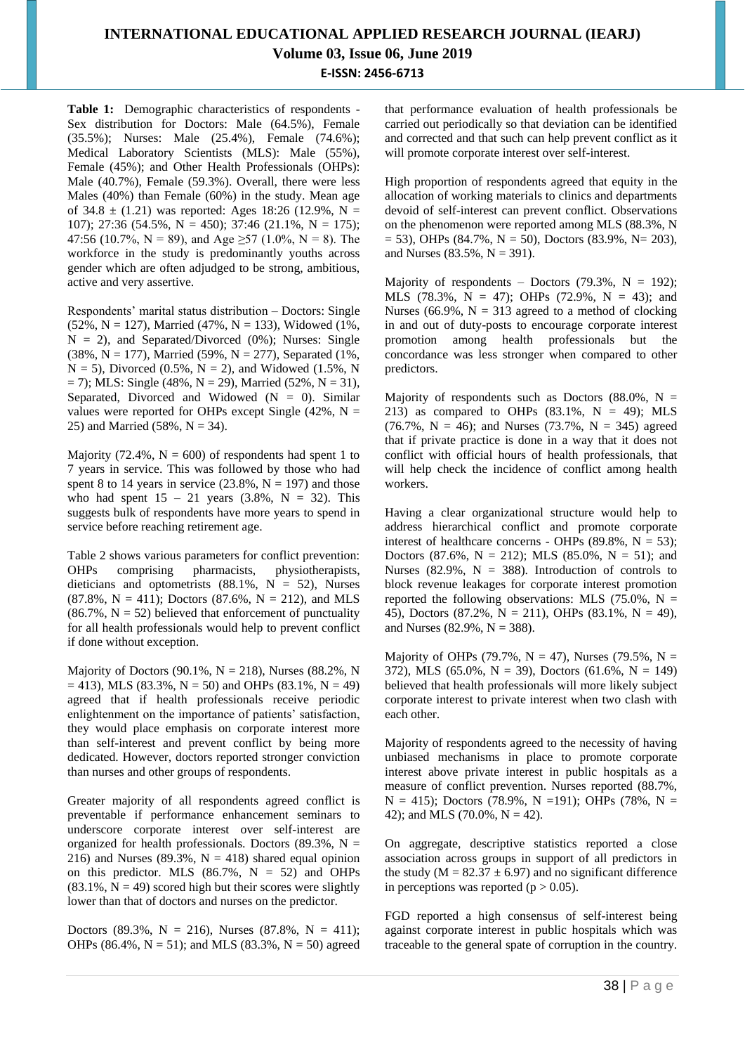# **INTERNATIONAL EDUCATIONAL APPLIED RESEARCH JOURNAL (IEARJ) Volume 03, Issue 06, June 2019 E-ISSN: 2456-6713**

**Table 1:** Demographic characteristics of respondents - Sex distribution for Doctors: Male (64.5%), Female (35.5%); Nurses: Male (25.4%), Female (74.6%); Medical Laboratory Scientists (MLS): Male (55%), Female (45%); and Other Health Professionals (OHPs): Male (40.7%), Female (59.3%). Overall, there were less Males (40%) than Female (60%) in the study. Mean age of 34.8  $\pm$  (1.21) was reported: Ages 18:26 (12.9%, N = 107); 27:36 (54.5%, N = 450); 37:46 (21.1%, N = 175); 47:56 (10.7%, N = 89), and Age  $\geq$  57 (1.0%, N = 8). The workforce in the study is predominantly youths across gender which are often adjudged to be strong, ambitious, active and very assertive.

Respondents' marital status distribution – Doctors: Single  $(52\%, N = 127)$ , Married (47%, N = 133), Widowed (1%,  $N = 2$ ), and Separated/Divorced (0%); Nurses: Single (38%, N = 177), Married (59%, N = 277), Separated (1%,  $N = 5$ ), Divorced (0.5%,  $N = 2$ ), and Widowed (1.5%, N  $= 7$ ); MLS: Single (48%, N = 29), Married (52%, N = 31), Separated, Divorced and Widowed  $(N = 0)$ . Similar values were reported for OHPs except Single (42%,  $N =$ 25) and Married (58%,  $N = 34$ ).

Majority (72.4%,  $N = 600$ ) of respondents had spent 1 to 7 years in service. This was followed by those who had spent 8 to 14 years in service  $(23.8\%, N = 197)$  and those who had spent  $15 - 21$  years  $(3.8\%, N = 32)$ . This suggests bulk of respondents have more years to spend in service before reaching retirement age.

Table 2 shows various parameters for conflict prevention: OHPs comprising pharmacists, physiotherapists, dieticians and optometrists  $(88.1\% , N = 52)$ , Nurses  $(87.8\%, N = 411)$ ; Doctors  $(87.6\%, N = 212)$ , and MLS  $(86.7\% \text{ , } N = 52)$  believed that enforcement of punctuality for all health professionals would help to prevent conflict if done without exception.

Majority of Doctors  $(90.1\% \text{ N} = 218)$ , Nurses  $(88.2\% \text{ N})$  $= 413$ ), MLS (83.3%, N = 50) and OHPs (83.1%, N = 49) agreed that if health professionals receive periodic enlightenment on the importance of patients' satisfaction, they would place emphasis on corporate interest more than self-interest and prevent conflict by being more dedicated. However, doctors reported stronger conviction than nurses and other groups of respondents.

Greater majority of all respondents agreed conflict is preventable if performance enhancement seminars to underscore corporate interest over self-interest are organized for health professionals. Doctors (89.3%,  $N =$ 216) and Nurses (89.3%,  $N = 418$ ) shared equal opinion on this predictor. MLS  $(86.7\%, N = 52)$  and OHPs  $(83.1\%, N = 49)$  scored high but their scores were slightly lower than that of doctors and nurses on the predictor.

Doctors (89.3%, N = 216), Nurses (87.8%, N = 411); OHPs (86.4%,  $N = 51$ ); and MLS (83.3%,  $N = 50$ ) agreed

that performance evaluation of health professionals be carried out periodically so that deviation can be identified and corrected and that such can help prevent conflict as it will promote corporate interest over self-interest.

High proportion of respondents agreed that equity in the allocation of working materials to clinics and departments devoid of self-interest can prevent conflict. Observations on the phenomenon were reported among MLS (88.3%, N  $= 53$ ), OHPs (84.7%, N = 50), Doctors (83.9%, N = 203), and Nurses (83.5%,  $N = 391$ ).

Majority of respondents – Doctors  $(79.3\%, N = 192)$ ; MLS (78.3%, N = 47); OHPs (72.9%, N = 43); and Nurses (66.9%,  $N = 313$  agreed to a method of clocking in and out of duty-posts to encourage corporate interest promotion among health professionals but the concordance was less stronger when compared to other predictors.

Majority of respondents such as Doctors (88.0%,  $N =$ 213) as compared to OHPs  $(83.1\% \text{ N} = 49)$ ; MLS (76.7%,  $N = 46$ ); and Nurses (73.7%,  $N = 345$ ) agreed that if private practice is done in a way that it does not conflict with official hours of health professionals, that will help check the incidence of conflict among health workers.

Having a clear organizational structure would help to address hierarchical conflict and promote corporate interest of healthcare concerns - OHPs  $(89.8\%, N = 53)$ ; Doctors (87.6%,  $N = 212$ ); MLS (85.0%,  $N = 51$ ); and Nurses (82.9%,  $N = 388$ ). Introduction of controls to block revenue leakages for corporate interest promotion reported the following observations: MLS  $(75.0\% , N =$ 45), Doctors (87.2%,  $N = 211$ ), OHPs (83.1%,  $N = 49$ ), and Nurses (82.9%,  $N = 388$ ).

Majority of OHPs (79.7%,  $N = 47$ ), Nurses (79.5%,  $N =$ 372), MLS (65.0%, N = 39), Doctors (61.6%, N = 149) believed that health professionals will more likely subject corporate interest to private interest when two clash with each other.

Majority of respondents agreed to the necessity of having unbiased mechanisms in place to promote corporate interest above private interest in public hospitals as a measure of conflict prevention. Nurses reported (88.7%,  $N = 415$ ); Doctors (78.9%, N =191); OHPs (78%, N = 42); and MLS (70.0%,  $N = 42$ ).

On aggregate, descriptive statistics reported a close association across groups in support of all predictors in the study ( $M = 82.37 \pm 6.97$ ) and no significant difference in perceptions was reported  $(p > 0.05)$ .

FGD reported a high consensus of self-interest being against corporate interest in public hospitals which was traceable to the general spate of corruption in the country.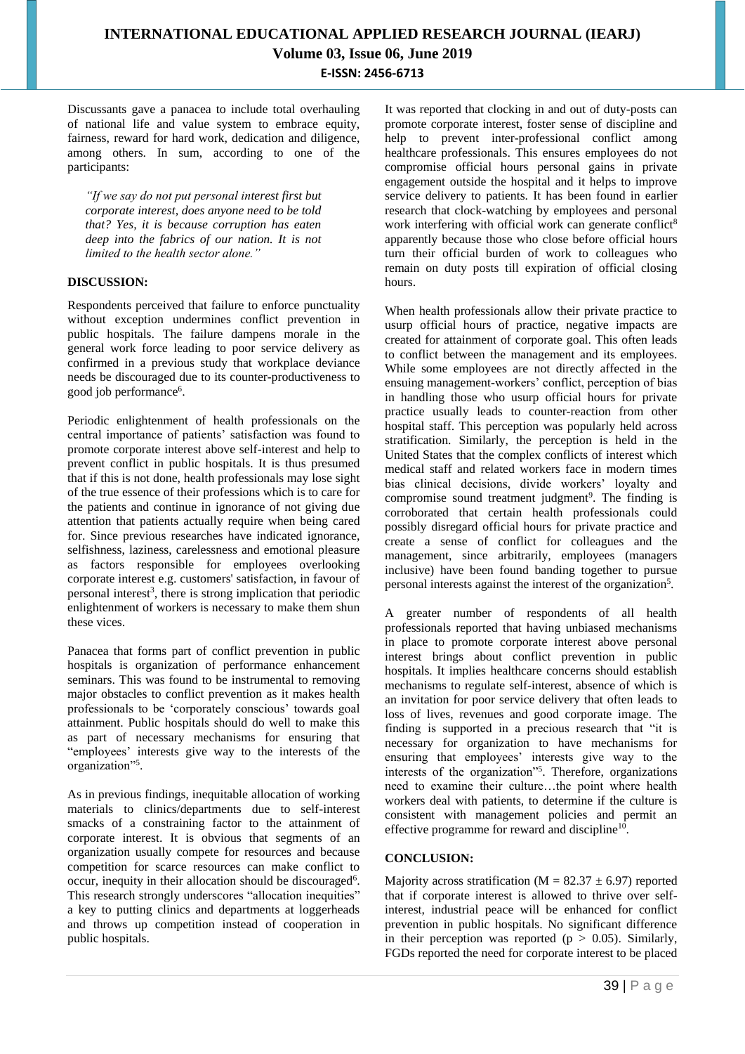Discussants gave a panacea to include total overhauling of national life and value system to embrace equity, fairness, reward for hard work, dedication and diligence, among others. In sum, according to one of the participants:

*"If we say do not put personal interest first but corporate interest, does anyone need to be told that? Yes, it is because corruption has eaten deep into the fabrics of our nation. It is not limited to the health sector alone."*

### **DISCUSSION:**

Respondents perceived that failure to enforce punctuality without exception undermines conflict prevention in public hospitals. The failure dampens morale in the general work force leading to poor service delivery as confirmed in a previous study that workplace deviance needs be discouraged due to its counter-productiveness to good job performance<sup>6</sup>.

Periodic enlightenment of health professionals on the central importance of patients' satisfaction was found to promote corporate interest above self-interest and help to prevent conflict in public hospitals. It is thus presumed that if this is not done, health professionals may lose sight of the true essence of their professions which is to care for the patients and continue in ignorance of not giving due attention that patients actually require when being cared for. Since previous researches have indicated ignorance, selfishness, laziness, carelessness and emotional pleasure as factors responsible for employees overlooking corporate interest e.g. customers' satisfaction, in favour of personal interest<sup>3</sup>, there is strong implication that periodic enlightenment of workers is necessary to make them shun these vices.

Panacea that forms part of conflict prevention in public hospitals is organization of performance enhancement seminars. This was found to be instrumental to removing major obstacles to conflict prevention as it makes health professionals to be 'corporately conscious' towards goal attainment. Public hospitals should do well to make this as part of necessary mechanisms for ensuring that "employees' interests give way to the interests of the organization"<sup>5</sup> .

As in previous findings, inequitable allocation of working materials to clinics/departments due to self-interest smacks of a constraining factor to the attainment of corporate interest. It is obvious that segments of an organization usually compete for resources and because competition for scarce resources can make conflict to occur, inequity in their allocation should be discouraged<sup>6</sup>. This research strongly underscores "allocation inequities" a key to putting clinics and departments at loggerheads and throws up competition instead of cooperation in public hospitals.

It was reported that clocking in and out of duty-posts can promote corporate interest, foster sense of discipline and help to prevent inter-professional conflict among healthcare professionals. This ensures employees do not compromise official hours personal gains in private engagement outside the hospital and it helps to improve service delivery to patients. It has been found in earlier research that clock-watching by employees and personal work interfering with official work can generate conflict<sup>8</sup> apparently because those who close before official hours turn their official burden of work to colleagues who remain on duty posts till expiration of official closing hours.

When health professionals allow their private practice to usurp official hours of practice, negative impacts are created for attainment of corporate goal. This often leads to conflict between the management and its employees. While some employees are not directly affected in the ensuing management-workers' conflict, perception of bias in handling those who usurp official hours for private practice usually leads to counter-reaction from other hospital staff. This perception was popularly held across stratification. Similarly, the perception is held in the United States that the complex conflicts of interest which medical staff and related workers face in modern times bias clinical decisions, divide workers' loyalty and compromise sound treatment judgment<sup>9</sup>. The finding is corroborated that certain health professionals could possibly disregard official hours for private practice and create a sense of conflict for colleagues and the management, since arbitrarily, employees (managers inclusive) have been found banding together to pursue personal interests against the interest of the organization<sup>5</sup>.

A greater number of respondents of all health professionals reported that having unbiased mechanisms in place to promote corporate interest above personal interest brings about conflict prevention in public hospitals. It implies healthcare concerns should establish mechanisms to regulate self-interest, absence of which is an invitation for poor service delivery that often leads to loss of lives, revenues and good corporate image. The finding is supported in a precious research that "it is necessary for organization to have mechanisms for ensuring that employees' interests give way to the interests of the organization"<sup>5</sup> . Therefore, organizations need to examine their culture…the point where health workers deal with patients, to determine if the culture is consistent with management policies and permit an effective programme for reward and discipline<sup>10</sup>.

### **CONCLUSION:**

Majority across stratification ( $M = 82.37 \pm 6.97$ ) reported that if corporate interest is allowed to thrive over selfinterest, industrial peace will be enhanced for conflict prevention in public hospitals. No significant difference in their perception was reported ( $p > 0.05$ ). Similarly, FGDs reported the need for corporate interest to be placed